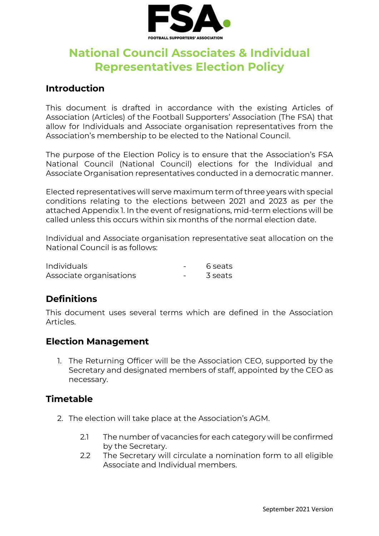

# **National Council Associates & Individual Representatives Election Policy**

#### **Introduction**

This document is drafted in accordance with the existing Articles of Association (Articles) of the Football Supporters' Association (The FSA) that allow for Individuals and Associate organisation representatives from the Association's membership to be elected to the National Council.

The purpose of the Election Policy is to ensure that the Association's FSA National Council (National Council) elections for the Individual and Associate Organisation representatives conducted in a democratic manner.

Elected representatives will serve maximum term of three years with special conditions relating to the elections between 2021 and 2023 as per the attached Appendix 1. In the event of resignations, mid-term elections will be called unless this occurs within six months of the normal election date.

Individual and Associate organisation representative seat allocation on the National Council is as follows:

| <b>Individuals</b>      | 6 seats |
|-------------------------|---------|
| Associate organisations | 3 seats |

### **Definitions**

This document uses several terms which are defined in the Association Articles.

#### **Election Management**

1. The Returning Officer will be the Association CEO, supported by the Secretary and designated members of staff, appointed by the CEO as necessary.

#### **Timetable**

- 2. The election will take place at the Association's AGM.
	- 2.1 The number of vacancies for each category will be confirmed by the Secretary.
	- 2.2 The Secretary will circulate a nomination form to all eligible Associate and Individual members.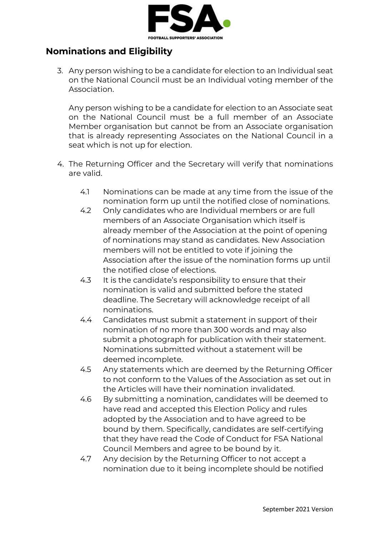

# **Nominations and Eligibility**

3. Any person wishing to be a candidate for election to an Individual seat on the National Council must be an Individual voting member of the Association.

Any person wishing to be a candidate for election to an Associate seat on the National Council must be a full member of an Associate Member organisation but cannot be from an Associate organisation that is already representing Associates on the National Council in a seat which is not up for election.

- 4. The Returning Officer and the Secretary will verify that nominations are valid.
	- 4.1 Nominations can be made at any time from the issue of the nomination form up until the notified close of nominations.
	- 4.2 Only candidates who are Individual members or are full members of an Associate Organisation which itself is already member of the Association at the point of opening of nominations may stand as candidates. New Association members will not be entitled to vote if joining the Association after the issue of the nomination forms up until the notified close of elections.
	- 4.3 It is the candidate's responsibility to ensure that their nomination is valid and submitted before the stated deadline. The Secretary will acknowledge receipt of all nominations.
	- 4.4 Candidates must submit a statement in support of their nomination of no more than 300 words and may also submit a photograph for publication with their statement. Nominations submitted without a statement will be deemed incomplete.
	- 4.5 Any statements which are deemed by the Returning Officer to not conform to the Values of the Association as set out in the Articles will have their nomination invalidated.
	- 4.6 By submitting a nomination, candidates will be deemed to have read and accepted this Election Policy and rules adopted by the Association and to have agreed to be bound by them. Specifically, candidates are self-certifying that they have read the Code of Conduct for FSA National Council Members and agree to be bound by it.
	- 4.7 Any decision by the Returning Officer to not accept a nomination due to it being incomplete should be notified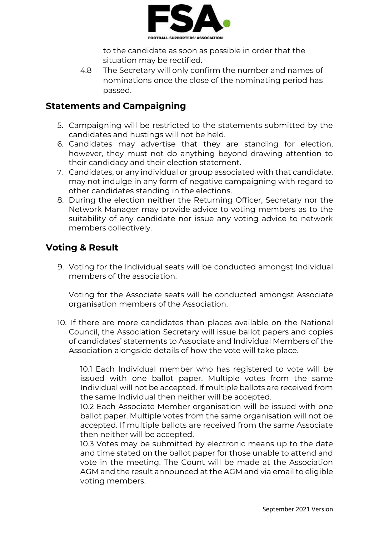

to the candidate as soon as possible in order that the situation may be rectified.

4.8 The Secretary will only confirm the number and names of nominations once the close of the nominating period has passed.

## **Statements and Campaigning**

- 5. Campaigning will be restricted to the statements submitted by the candidates and hustings will not be held.
- 6. Candidates may advertise that they are standing for election, however, they must not do anything beyond drawing attention to their candidacy and their election statement.
- 7. Candidates, or any individual or group associated with that candidate, may not indulge in any form of negative campaigning with regard to other candidates standing in the elections.
- 8. During the election neither the Returning Officer, Secretary nor the Network Manager may provide advice to voting members as to the suitability of any candidate nor issue any voting advice to network members collectively.

# **Voting & Result**

9. Voting for the Individual seats will be conducted amongst Individual members of the association.

Voting for the Associate seats will be conducted amongst Associate organisation members of the Association.

10. If there are more candidates than places available on the National Council, the Association Secretary will issue ballot papers and copies of candidates' statements to Associate and Individual Members of the Association alongside details of how the vote will take place.

10.1 Each Individual member who has registered to vote will be issued with one ballot paper. Multiple votes from the same Individual will not be accepted. If multiple ballots are received from the same Individual then neither will be accepted.

10.2 Each Associate Member organisation will be issued with one ballot paper. Multiple votes from the same organisation will not be accepted. If multiple ballots are received from the same Associate then neither will be accepted.

10.3 Votes may be submitted by electronic means up to the date and time stated on the ballot paper for those unable to attend and vote in the meeting. The Count will be made at the Association AGM and the result announced at the AGM and via email to eligible voting members.